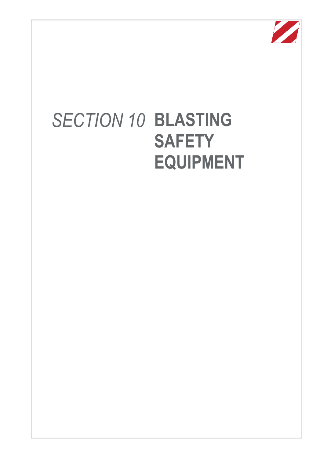

## *SECTION 10* **BLASTING SAFETY EQUIPMENT**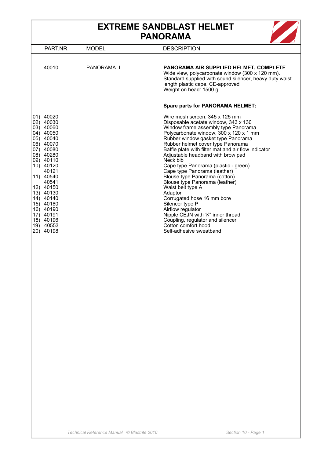## **EXTREME SANDBLAST HELMET PANORAMA**



| PART.NR.                                                                                                                                                                                                                                                                           | <b>MODEL</b> | <b>DESCRIPTION</b>                                                                                                                                                                                                                                                                                                                                                                                                                                                                                                                                                                                                                                                                                                                                                 |
|------------------------------------------------------------------------------------------------------------------------------------------------------------------------------------------------------------------------------------------------------------------------------------|--------------|--------------------------------------------------------------------------------------------------------------------------------------------------------------------------------------------------------------------------------------------------------------------------------------------------------------------------------------------------------------------------------------------------------------------------------------------------------------------------------------------------------------------------------------------------------------------------------------------------------------------------------------------------------------------------------------------------------------------------------------------------------------------|
| 40010                                                                                                                                                                                                                                                                              | PANORAMA I   | PANORAMA AIR SUPPLIED HELMET, COMPLETE<br>Wide view, polycarbonate window (300 x 120 mm).<br>Standard supplied with sound silencer, heavy duty waist<br>length plastic cape. CE-approved<br>Weight on head: 1500 g                                                                                                                                                                                                                                                                                                                                                                                                                                                                                                                                                 |
| 01) 40020<br>02) 40030<br>03) 40060<br>04) 40050<br>05) 40040<br>06) 40070<br>07) 40080<br>08) 40280<br>09) 40110<br>10) 40120<br>40121<br>11) 40540<br>40541<br>12) 40150<br>13) 40130<br>14) 40140<br>15) 40180<br>16) 40190<br>17) 40191<br>18) 40196<br>19) 40553<br>20) 40198 |              | <b>Spare parts for PANORAMA HELMET:</b><br>Wire mesh screen, 345 x 125 mm<br>Disposable acetate window, 343 x 130<br>Window frame assembly type Panorama<br>Polycarbonate window, 300 x 120 x 1 mm<br>Rubber window gasket type Panorama<br>Rubber helmet cover type Panorama<br>Baffle plate with filter mat and air flow indicator<br>Adjustable headband with brow pad<br>Neck bib<br>Cape type Panorama (plastic - green)<br>Cape type Panorama (leather)<br>Blouse type Panorama (cotton)<br>Blouse type Panorama (leather)<br>Waist belt type A<br>Adaptor<br>Corrugated hose 16 mm bore<br>Silencer type P<br>Airflow regulator<br>Nipple CEJN with 1/4" inner thread<br>Coupling, regulator and silencer<br>Cotton comfort hood<br>Self-adhesive sweatband |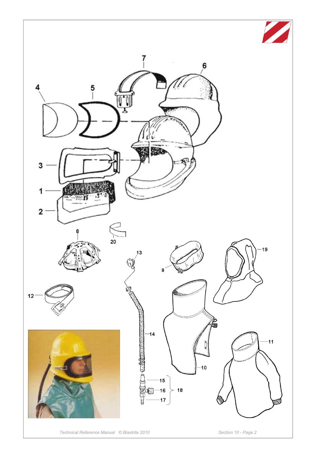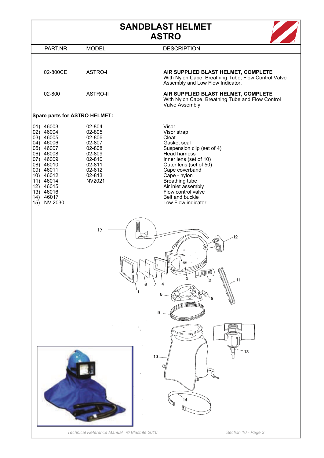## **SANDBLAST HELMET ASTRO**



|                                                     | PART.NR.                                                                                                                                                                                      | <b>MODEL</b>                                                                                               | <b>DESCRIPTION</b>                                                                                                                                                                                                                                                                             |
|-----------------------------------------------------|-----------------------------------------------------------------------------------------------------------------------------------------------------------------------------------------------|------------------------------------------------------------------------------------------------------------|------------------------------------------------------------------------------------------------------------------------------------------------------------------------------------------------------------------------------------------------------------------------------------------------|
|                                                     | 02-800CE                                                                                                                                                                                      | <b>ASTRO-I</b>                                                                                             | AIR SUPPLIED BLAST HELMET, COMPLETE<br>With Nylon Cape, Breathing Tube, Flow Control Valve                                                                                                                                                                                                     |
|                                                     | 02-800                                                                                                                                                                                        | <b>ASTRO-II</b>                                                                                            | Assembly and Low Flow Indicator.<br>AIR SUPPLIED BLAST HELMET, COMPLETE<br>With Nylon Cape, Breathing Tube and Flow Control                                                                                                                                                                    |
|                                                     |                                                                                                                                                                                               |                                                                                                            | Valve Assembly                                                                                                                                                                                                                                                                                 |
|                                                     | Spare parts for ASTRO HELMET:                                                                                                                                                                 |                                                                                                            |                                                                                                                                                                                                                                                                                                |
| (14)                                                | 01) 46003<br>02) 46004<br>03) 46005<br>04) 46006<br>05) 46007<br>06) 46008<br>07) 46009<br>08) 46010<br>09) 46011<br>10) 46012<br>11) 46014<br>12) 46015<br>13) 46016<br>46017<br>15) NV 2030 | 02-804<br>02-805<br>02-806<br>02-807<br>02-808<br>02-809<br>02-810<br>02-811<br>02-812<br>02-813<br>NV2021 | Visor<br>Visor strap<br>Cleat<br>Gasket seal<br>Suspension clip (set of 4)<br><b>Head harness</b><br>Inner lens (set of 10)<br>Outer lens (set of 50)<br>Cape coverband<br>Cape - nylon<br>Breathing tube<br>Air inlet assembly<br>Flow control valve<br>Belt and buckle<br>Low Flow indicator |
| 15<br><b>FOOT AND</b><br>8<br>7<br>4<br>6<br>5<br>9 |                                                                                                                                                                                               |                                                                                                            | 12<br>11<br>13                                                                                                                                                                                                                                                                                 |
|                                                     |                                                                                                                                                                                               | $10 -$<br>Technical Reference Manual © Blastrite 2010                                                      | 14<br>窩<br>Section 10 - Page 3                                                                                                                                                                                                                                                                 |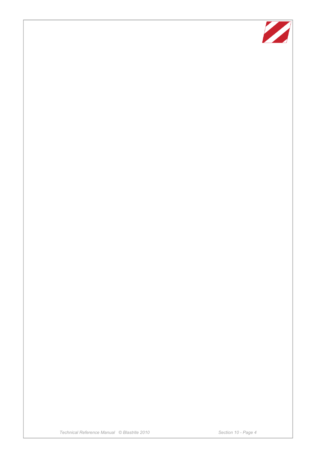

*Technical Reference Manual © Blastrite 2010 Section 10 - Page 4*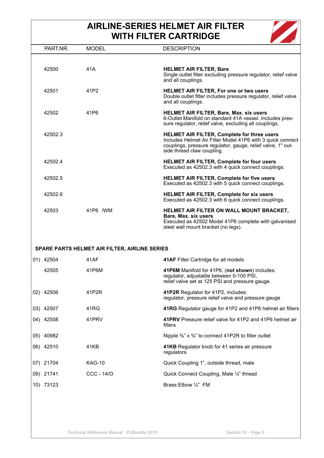## **AIRLINE-SERIES HELMET AIR FILTER WITH FILTER CARTRIDGE**



| PART.NR.                                      | <b>MODEL</b>     | <b>DESCRIPTION</b>                                                                                                                                                                                     |  |  |  |  |
|-----------------------------------------------|------------------|--------------------------------------------------------------------------------------------------------------------------------------------------------------------------------------------------------|--|--|--|--|
| 42500                                         | 41A              | <b>HELMET AIR FILTER, Bare</b><br>Single outlet filter excluding pressure regulator, relief valve<br>and all couplings.                                                                                |  |  |  |  |
| 42501                                         | 41P2             | HELMET AIR FILTER, For one or two users<br>Double outlet filter includes pressure regulator, relief valve<br>and all couplings.                                                                        |  |  |  |  |
| 42502                                         | 41P <sub>6</sub> | HELMET AIR FILTER, Bare, Max. six users<br>6-Outlet Manifold on standard 41A vessel. Includes pres-<br>sure regulator, relief valve, excluding all couplings.                                          |  |  |  |  |
| 42502.3                                       |                  | HELMET AIR FILTER, Complete for three users<br>Includes Helmet Air Filter Model 41P6 with 3 quick connect<br>couplings, pressure regulator, gauge, relief valve, 1" out-<br>side thread claw coupling. |  |  |  |  |
| 42502.4                                       |                  | <b>HELMET AIR FILTER, Complete for four users</b><br>Executed as 42502.3 with 4 quick connect couplings.                                                                                               |  |  |  |  |
| 42502.5                                       |                  | <b>HELMET AIR FILTER, Complete for five users</b><br>Executed as 42502.3 with 5 quick connect couplings.                                                                                               |  |  |  |  |
| 42502.6                                       |                  | <b>HELMET AIR FILTER, Complete for six users</b><br>Executed as 42502.3 with 6 quick connect couplings.                                                                                                |  |  |  |  |
| 42503                                         | 41P6 / WM        | HELMET AIR FILTER ON WALL MOUNT BRACKET,<br>Bare, Max. six users<br>Executed as 42502 Model 41P6 complete with galvanised<br>steel wall mount bracket (no legs).                                       |  |  |  |  |
| SPARE PARTS HELMET AIR FILTER, AIRLINE SERIES |                  |                                                                                                                                                                                                        |  |  |  |  |
| 01) 42504                                     | 41AF             | 41AF Filter Cartridge for all models                                                                                                                                                                   |  |  |  |  |
| 42505                                         | 41P6M            | 41P6M Manifold for 41P6, (not shown) includes:<br>regulator, adjustable between 0-100 PSI,<br>relief valve set at 125 PSI and pressure gauge.                                                          |  |  |  |  |
| 02) 42506                                     | 41P2R            | 41P2R Regulator for 41P2, includes:<br>regulator, pressure relief valve and pressure gauge                                                                                                             |  |  |  |  |
| 03) 42507                                     | 41RG             | 41RG Regulator gauge for 41P2 and 41P6 helmet air filters                                                                                                                                              |  |  |  |  |
| 04) 42508                                     | 41PRV            | 41PRV Pressure relief valve for 41P2 and 41P6 helmet air<br>filters                                                                                                                                    |  |  |  |  |
| 05) 40982                                     |                  | Nipple $\frac{3}{8}$ " x $\frac{3}{8}$ " to connect 41P2R to filter outlet                                                                                                                             |  |  |  |  |
| 06) 42510                                     | 41KB             | 41KB Regulator knob for 41 series air pressure<br>regulators                                                                                                                                           |  |  |  |  |
| 07) 21704                                     | <b>KAG-10</b>    | Quick Coupling 1", outside thread, male                                                                                                                                                                |  |  |  |  |
| 09) 21741                                     | CCC - 14/0       | Quick Connect Coupling, Male 1/4" thread                                                                                                                                                               |  |  |  |  |
| 10) 73123                                     |                  | Brass Elbow 1/4" FM                                                                                                                                                                                    |  |  |  |  |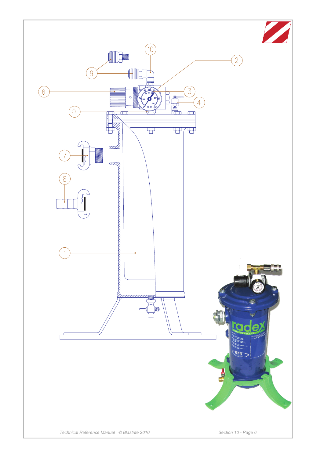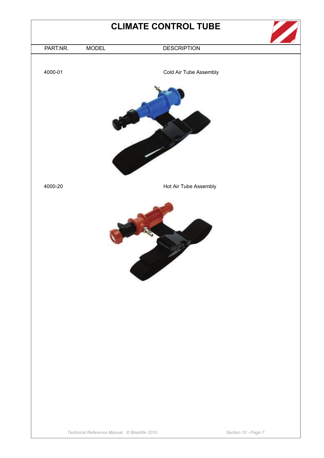